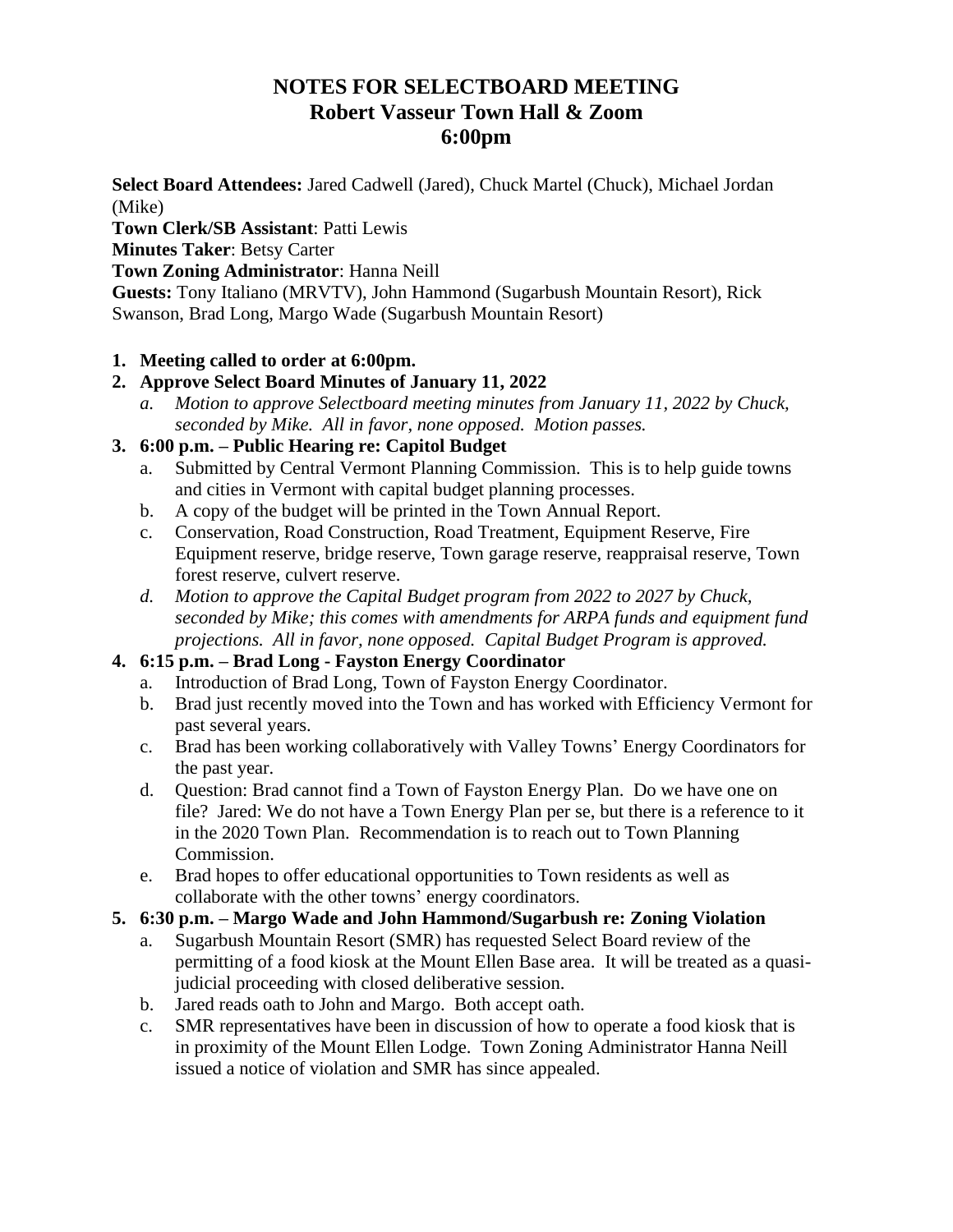# **NOTES FOR SELECTBOARD MEETING Robert Vasseur Town Hall & Zoom 6:00pm**

**Select Board Attendees:** Jared Cadwell (Jared), Chuck Martel (Chuck), Michael Jordan (Mike)

**Town Clerk/SB Assistant**: Patti Lewis

## **Minutes Taker**: Betsy Carter

**Town Zoning Administrator**: Hanna Neill

**Guests:** Tony Italiano (MRVTV), John Hammond (Sugarbush Mountain Resort), Rick Swanson, Brad Long, Margo Wade (Sugarbush Mountain Resort)

## **1. Meeting called to order at 6:00pm.**

# **2. Approve Select Board Minutes of January 11, 2022**

*a. Motion to approve Selectboard meeting minutes from January 11, 2022 by Chuck, seconded by Mike. All in favor, none opposed. Motion passes.*

## **3. 6:00 p.m. – Public Hearing re: Capitol Budget**

- a. Submitted by Central Vermont Planning Commission. This is to help guide towns and cities in Vermont with capital budget planning processes.
- b. A copy of the budget will be printed in the Town Annual Report.
- c. Conservation, Road Construction, Road Treatment, Equipment Reserve, Fire Equipment reserve, bridge reserve, Town garage reserve, reappraisal reserve, Town forest reserve, culvert reserve.
- *d. Motion to approve the Capital Budget program from 2022 to 2027 by Chuck, seconded by Mike; this comes with amendments for ARPA funds and equipment fund projections. All in favor, none opposed. Capital Budget Program is approved.*

# **4. 6:15 p.m. – Brad Long - Fayston Energy Coordinator**

- a. Introduction of Brad Long, Town of Fayston Energy Coordinator.
- b. Brad just recently moved into the Town and has worked with Efficiency Vermont for past several years.
- c. Brad has been working collaboratively with Valley Towns' Energy Coordinators for the past year.
- d. Question: Brad cannot find a Town of Fayston Energy Plan. Do we have one on file? Jared: We do not have a Town Energy Plan per se, but there is a reference to it in the 2020 Town Plan. Recommendation is to reach out to Town Planning Commission.
- e. Brad hopes to offer educational opportunities to Town residents as well as collaborate with the other towns' energy coordinators.

#### **5. 6:30 p.m. – Margo Wade and John Hammond/Sugarbush re: Zoning Violation**

- a. Sugarbush Mountain Resort (SMR) has requested Select Board review of the permitting of a food kiosk at the Mount Ellen Base area. It will be treated as a quasijudicial proceeding with closed deliberative session.
- b. Jared reads oath to John and Margo. Both accept oath.
- c. SMR representatives have been in discussion of how to operate a food kiosk that is in proximity of the Mount Ellen Lodge. Town Zoning Administrator Hanna Neill issued a notice of violation and SMR has since appealed.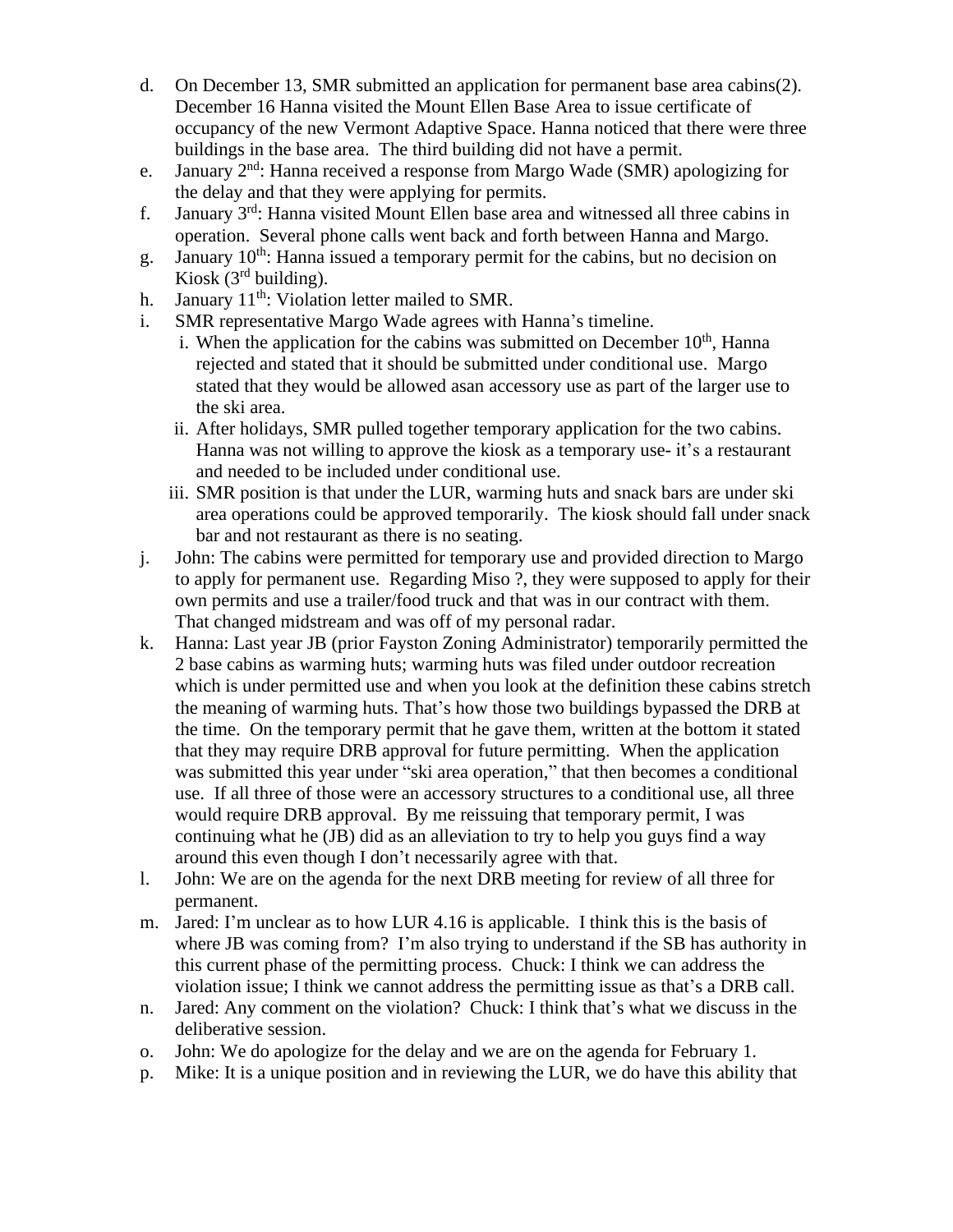- d. On December 13, SMR submitted an application for permanent base area cabins(2). December 16 Hanna visited the Mount Ellen Base Area to issue certificate of occupancy of the new Vermont Adaptive Space. Hanna noticed that there were three buildings in the base area. The third building did not have a permit.
- e. January  $2<sup>nd</sup>$ : Hanna received a response from Margo Wade (SMR) apologizing for the delay and that they were applying for permits.
- f. January  $3<sup>rd</sup>$ : Hanna visited Mount Ellen base area and witnessed all three cabins in operation. Several phone calls went back and forth between Hanna and Margo.
- g. January 10<sup>th</sup>: Hanna issued a temporary permit for the cabins, but no decision on Kiosk (3rd building).
- h. January  $11<sup>th</sup>$ : Violation letter mailed to SMR.
- i. SMR representative Margo Wade agrees with Hanna's timeline.
	- i. When the application for the cabins was submitted on December  $10<sup>th</sup>$ , Hanna rejected and stated that it should be submitted under conditional use. Margo stated that they would be allowed asan accessory use as part of the larger use to the ski area.
	- ii. After holidays, SMR pulled together temporary application for the two cabins. Hanna was not willing to approve the kiosk as a temporary use- it's a restaurant and needed to be included under conditional use.
	- iii. SMR position is that under the LUR, warming huts and snack bars are under ski area operations could be approved temporarily. The kiosk should fall under snack bar and not restaurant as there is no seating.
- j. John: The cabins were permitted for temporary use and provided direction to Margo to apply for permanent use. Regarding Miso ?, they were supposed to apply for their own permits and use a trailer/food truck and that was in our contract with them. That changed midstream and was off of my personal radar.
- k. Hanna: Last year JB (prior Fayston Zoning Administrator) temporarily permitted the 2 base cabins as warming huts; warming huts was filed under outdoor recreation which is under permitted use and when you look at the definition these cabins stretch the meaning of warming huts. That's how those two buildings bypassed the DRB at the time. On the temporary permit that he gave them, written at the bottom it stated that they may require DRB approval for future permitting. When the application was submitted this year under "ski area operation," that then becomes a conditional use. If all three of those were an accessory structures to a conditional use, all three would require DRB approval. By me reissuing that temporary permit, I was continuing what he (JB) did as an alleviation to try to help you guys find a way around this even though I don't necessarily agree with that.
- l. John: We are on the agenda for the next DRB meeting for review of all three for permanent.
- m. Jared: I'm unclear as to how LUR 4.16 is applicable. I think this is the basis of where JB was coming from? I'm also trying to understand if the SB has authority in this current phase of the permitting process. Chuck: I think we can address the violation issue; I think we cannot address the permitting issue as that's a DRB call.
- n. Jared: Any comment on the violation? Chuck: I think that's what we discuss in the deliberative session.
- o. John: We do apologize for the delay and we are on the agenda for February 1.
- p. Mike: It is a unique position and in reviewing the LUR, we do have this ability that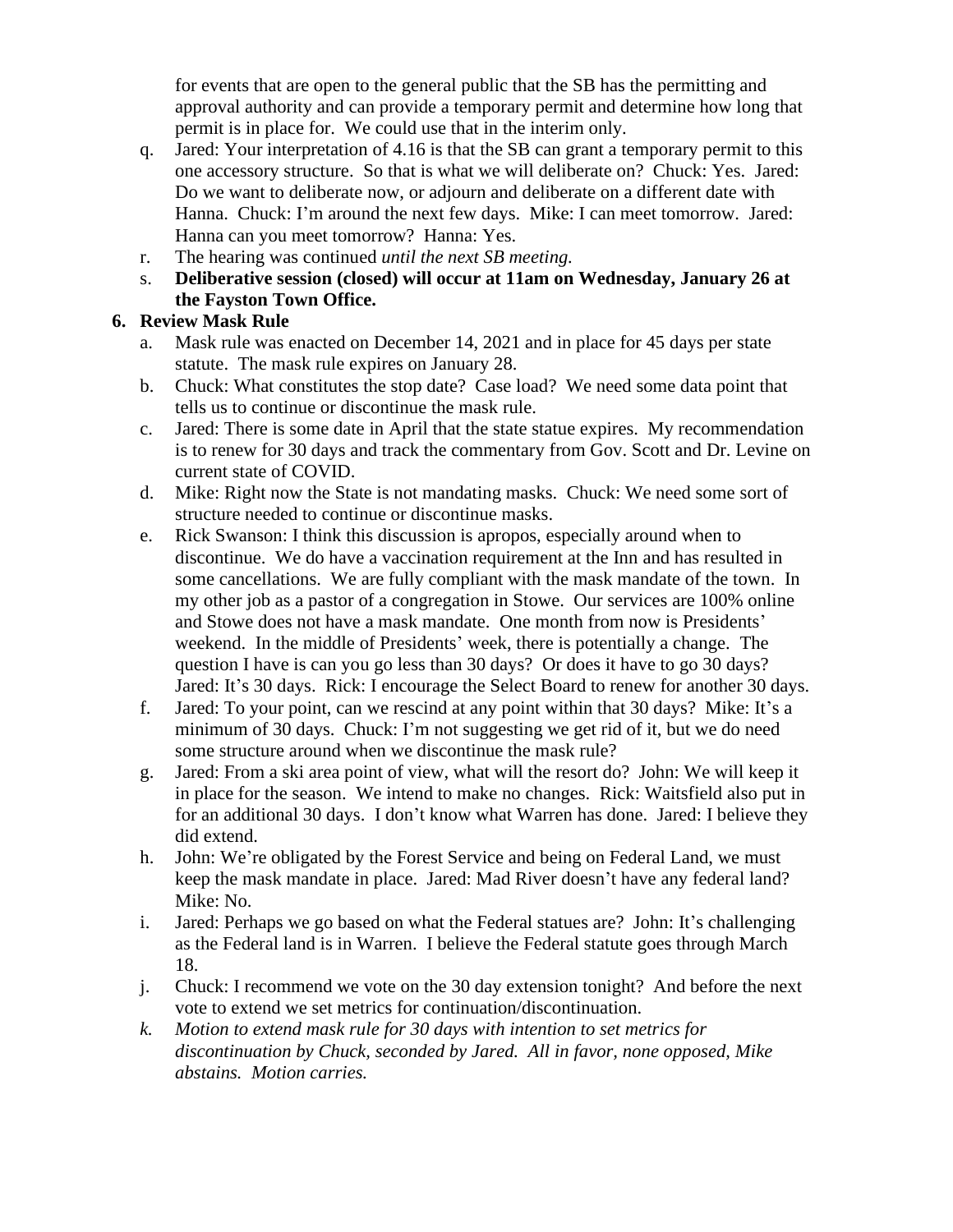for events that are open to the general public that the SB has the permitting and approval authority and can provide a temporary permit and determine how long that permit is in place for. We could use that in the interim only.

- q. Jared: Your interpretation of 4.16 is that the SB can grant a temporary permit to this one accessory structure. So that is what we will deliberate on? Chuck: Yes. Jared: Do we want to deliberate now, or adjourn and deliberate on a different date with Hanna. Chuck: I'm around the next few days. Mike: I can meet tomorrow. Jared: Hanna can you meet tomorrow? Hanna: Yes.
- r. The hearing was continued *until the next SB meeting.*
- s. **Deliberative session (closed) will occur at 11am on Wednesday, January 26 at the Fayston Town Office.**

#### **6. Review Mask Rule**

- a. Mask rule was enacted on December 14, 2021 and in place for 45 days per state statute. The mask rule expires on January 28.
- b. Chuck: What constitutes the stop date? Case load? We need some data point that tells us to continue or discontinue the mask rule.
- c. Jared: There is some date in April that the state statue expires. My recommendation is to renew for 30 days and track the commentary from Gov. Scott and Dr. Levine on current state of COVID.
- d. Mike: Right now the State is not mandating masks. Chuck: We need some sort of structure needed to continue or discontinue masks.
- e. Rick Swanson: I think this discussion is apropos, especially around when to discontinue. We do have a vaccination requirement at the Inn and has resulted in some cancellations. We are fully compliant with the mask mandate of the town. In my other job as a pastor of a congregation in Stowe. Our services are 100% online and Stowe does not have a mask mandate. One month from now is Presidents' weekend. In the middle of Presidents' week, there is potentially a change. The question I have is can you go less than 30 days? Or does it have to go 30 days? Jared: It's 30 days. Rick: I encourage the Select Board to renew for another 30 days.
- f. Jared: To your point, can we rescind at any point within that 30 days? Mike: It's a minimum of 30 days. Chuck: I'm not suggesting we get rid of it, but we do need some structure around when we discontinue the mask rule?
- g. Jared: From a ski area point of view, what will the resort do? John: We will keep it in place for the season. We intend to make no changes. Rick: Waitsfield also put in for an additional 30 days. I don't know what Warren has done. Jared: I believe they did extend.
- h. John: We're obligated by the Forest Service and being on Federal Land, we must keep the mask mandate in place. Jared: Mad River doesn't have any federal land? Mike: No.
- i. Jared: Perhaps we go based on what the Federal statues are? John: It's challenging as the Federal land is in Warren. I believe the Federal statute goes through March 18.
- j. Chuck: I recommend we vote on the 30 day extension tonight? And before the next vote to extend we set metrics for continuation/discontinuation.
- *k. Motion to extend mask rule for 30 days with intention to set metrics for discontinuation by Chuck, seconded by Jared. All in favor, none opposed, Mike abstains. Motion carries.*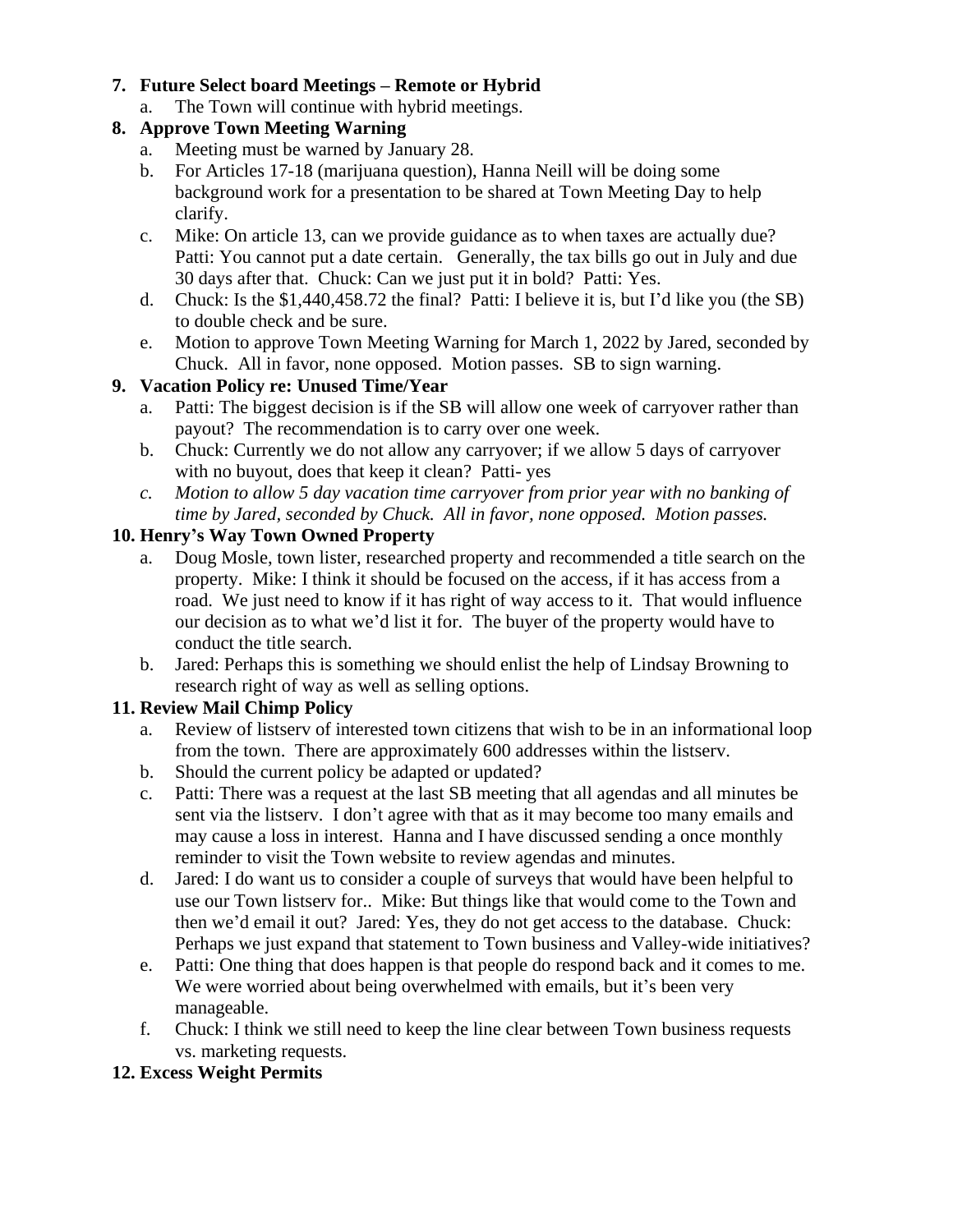#### **7. Future Select board Meetings – Remote or Hybrid**

a. The Town will continue with hybrid meetings.

## **8. Approve Town Meeting Warning**

- a. Meeting must be warned by January 28.
- b. For Articles 17-18 (marijuana question), Hanna Neill will be doing some background work for a presentation to be shared at Town Meeting Day to help clarify.
- c. Mike: On article 13, can we provide guidance as to when taxes are actually due? Patti: You cannot put a date certain. Generally, the tax bills go out in July and due 30 days after that. Chuck: Can we just put it in bold? Patti: Yes.
- d. Chuck: Is the \$1,440,458.72 the final? Patti: I believe it is, but I'd like you (the SB) to double check and be sure.
- e. Motion to approve Town Meeting Warning for March 1, 2022 by Jared, seconded by Chuck. All in favor, none opposed. Motion passes. SB to sign warning.

## **9. Vacation Policy re: Unused Time/Year**

- a. Patti: The biggest decision is if the SB will allow one week of carryover rather than payout? The recommendation is to carry over one week.
- b. Chuck: Currently we do not allow any carryover; if we allow 5 days of carryover with no buyout, does that keep it clean? Patti- yes
- *c. Motion to allow 5 day vacation time carryover from prior year with no banking of time by Jared, seconded by Chuck. All in favor, none opposed. Motion passes.*

## **10. Henry's Way Town Owned Property**

- a. Doug Mosle, town lister, researched property and recommended a title search on the property. Mike: I think it should be focused on the access, if it has access from a road. We just need to know if it has right of way access to it. That would influence our decision as to what we'd list it for. The buyer of the property would have to conduct the title search.
- b. Jared: Perhaps this is something we should enlist the help of Lindsay Browning to research right of way as well as selling options.

# **11. Review Mail Chimp Policy**

- a. Review of listserv of interested town citizens that wish to be in an informational loop from the town. There are approximately 600 addresses within the listserv.
- b. Should the current policy be adapted or updated?
- c. Patti: There was a request at the last SB meeting that all agendas and all minutes be sent via the listserv. I don't agree with that as it may become too many emails and may cause a loss in interest. Hanna and I have discussed sending a once monthly reminder to visit the Town website to review agendas and minutes.
- d. Jared: I do want us to consider a couple of surveys that would have been helpful to use our Town listserv for.. Mike: But things like that would come to the Town and then we'd email it out? Jared: Yes, they do not get access to the database. Chuck: Perhaps we just expand that statement to Town business and Valley-wide initiatives?
- e. Patti: One thing that does happen is that people do respond back and it comes to me. We were worried about being overwhelmed with emails, but it's been very manageable.
- f. Chuck: I think we still need to keep the line clear between Town business requests vs. marketing requests.

#### **12. Excess Weight Permits**